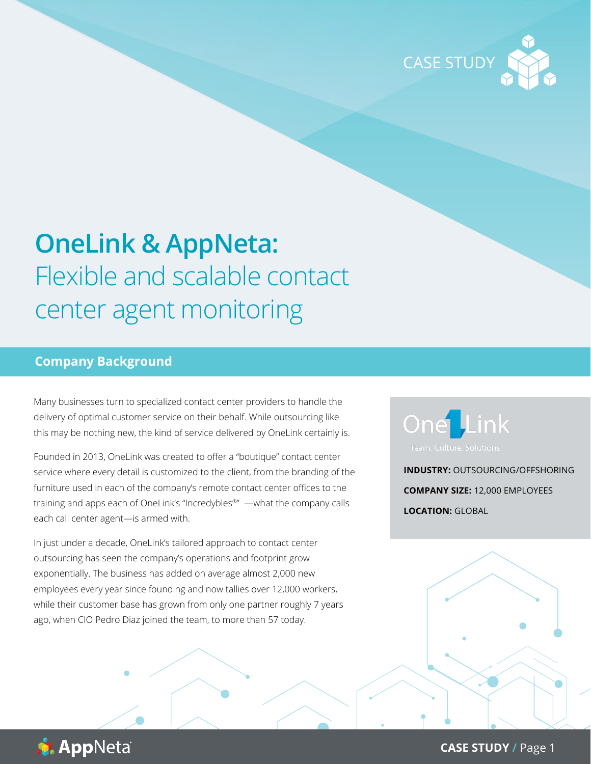

# **OneLink & AppNeta:**  Flexible and scalable contact center agent monitoring

## **Company Background**

Many businesses turn to specialized contact center providers to handle the delivery of optimal customer service on their behalf. While outsourcing like this may be nothing new, the kind of service delivered by OneLink certainly is.

Founded in 2013, OneLink was created to offer a "boutique" contact center service where every detail is customized to the client, from the branding of the furniture used in each of the company's remote contact center offices to the training and apps each of OneLink's "Incredybles®" —what the company calls each call center agent—is armed with.

In just under a decade, OneLink's tailored approach to contact center outsourcing has seen the company's operations and footprint grow exponentially. The business has added on average almost 2,000 new employees every year since founding and now tallies over 12,000 workers, while their customer base has grown from only one partner roughly 7 years ago, when CIO Pedro Diaz joined the team, to more than 57 today.



**INDUSTRY:** OUTSOURCING/OFFSHORING **COMPANY SIZE:** 12,000 EMPLOYEES **LOCATION:** GLOBAL



**CASE STUDY /** Page 1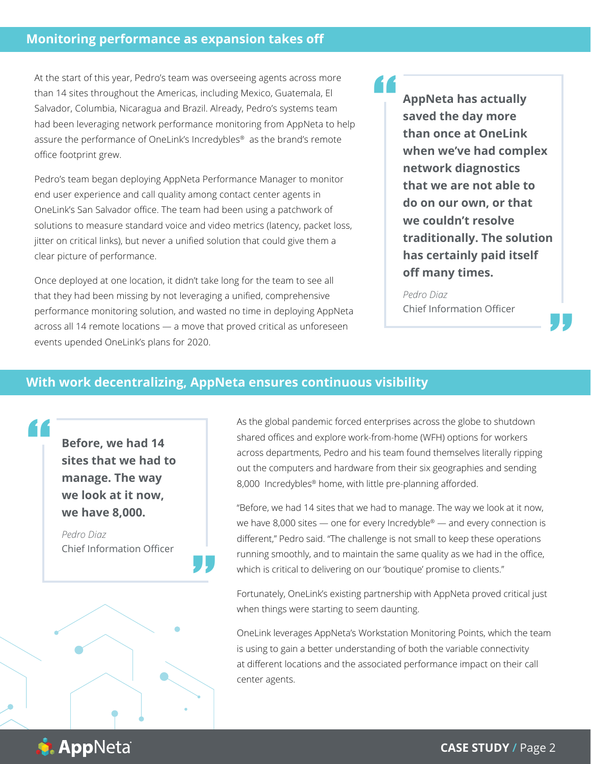At the start of this year, Pedro's team was overseeing agents across more than 14 sites throughout the Americas, including Mexico, Guatemala, El Salvador, Columbia, Nicaragua and Brazil. Already, Pedro's systems team had been leveraging network performance monitoring from AppNeta to help assure the performance of OneLink's Incredybles® as the brand's remote office footprint grew.

Pedro's team began deploying AppNeta Performance Manager to monitor end user experience and call quality among contact center agents in OneLink's San Salvador office. The team had been using a patchwork of solutions to measure standard voice and video metrics (latency, packet loss, jitter on critical links), but never a unified solution that could give them a clear picture of performance.

Once deployed at one location, it didn't take long for the team to see all that they had been missing by not leveraging a unified, comprehensive performance monitoring solution, and wasted no time in deploying AppNeta across all 14 remote locations — a move that proved critical as unforeseen events upended OneLink's plans for 2020.

**AppNeta has actually saved the day more than once at OneLink when we've had complex network diagnostics that we are not able to do on our own, or that we couldn't resolve traditionally. The solution has certainly paid itself off many times.** |<br>"

#### *Pedro Diaz* Chief Information Officer

# **With work decentralizing, AppNeta ensures continuous visibility**

"

**Before, we had 14 sites that we had to manage. The way we look at it now, we have 8,000.**

"<br>|<br>|

*Pedro Diaz* Chief Information Officer As the global pandemic forced enterprises across the globe to shutdown shared offices and explore work-from-home (WFH) options for workers across departments, Pedro and his team found themselves literally ripping out the computers and hardware from their six geographies and sending 8,000 Incredybles<sup>®</sup> home, with little pre-planning afforded.

"<br>|<br>|

"Before, we had 14 sites that we had to manage. The way we look at it now, we have 8,000 sites — one for every Incredyble® — and every connection is different," Pedro said. "The challenge is not small to keep these operations running smoothly, and to maintain the same quality as we had in the office, which is critical to delivering on our 'boutique' promise to clients."

Fortunately, OneLink's existing partnership with AppNeta proved critical just when things were starting to seem daunting.

OneLink leverages AppNeta's Workstation Monitoring Points, which the team is using to gain a better understanding of both the variable connectivity at different locations and the associated performance impact on their call center agents.